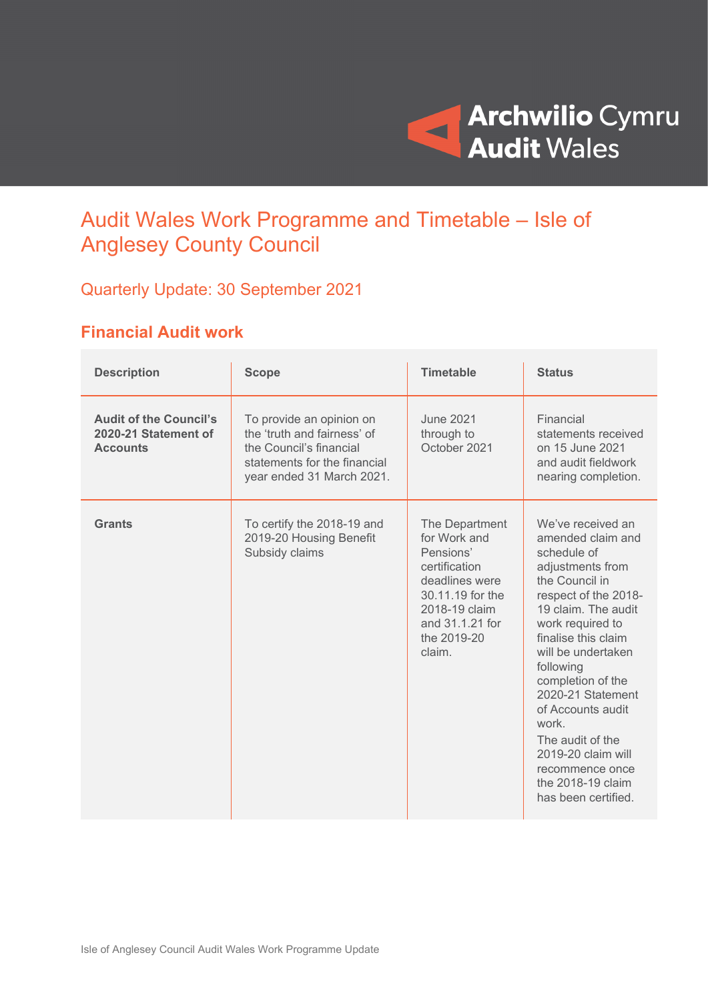

# Audit Wales Work Programme and Timetable – Isle of Anglesey County Council

Quarterly Update: 30 September 2021

#### **Financial Audit work**

| <b>Description</b>                                                       | <b>Scope</b>                                                                                                                                    | <b>Timetable</b>                                                                                                                                                | <b>Status</b>                                                                                                                                                                                                                                                                                                                                                                                               |
|--------------------------------------------------------------------------|-------------------------------------------------------------------------------------------------------------------------------------------------|-----------------------------------------------------------------------------------------------------------------------------------------------------------------|-------------------------------------------------------------------------------------------------------------------------------------------------------------------------------------------------------------------------------------------------------------------------------------------------------------------------------------------------------------------------------------------------------------|
| <b>Audit of the Council's</b><br>2020-21 Statement of<br><b>Accounts</b> | To provide an opinion on<br>the 'truth and fairness' of<br>the Council's financial<br>statements for the financial<br>year ended 31 March 2021. | <b>June 2021</b><br>through to<br>October 2021                                                                                                                  | Financial<br>statements received<br>on 15 June 2021<br>and audit fieldwork<br>nearing completion.                                                                                                                                                                                                                                                                                                           |
| <b>Grants</b>                                                            | To certify the 2018-19 and<br>2019-20 Housing Benefit<br>Subsidy claims                                                                         | The Department<br>for Work and<br>Pensions'<br>certification<br>deadlines were<br>30.11.19 for the<br>2018-19 claim<br>and 31.1.21 for<br>the 2019-20<br>claim. | We've received an<br>amended claim and<br>schedule of<br>adjustments from<br>the Council in<br>respect of the 2018-<br>19 claim. The audit<br>work required to<br>finalise this claim<br>will be undertaken<br>following<br>completion of the<br>2020-21 Statement<br>of Accounts audit<br>work.<br>The audit of the<br>2019-20 claim will<br>recommence once<br>the $2018-19$ claim<br>has been certified. |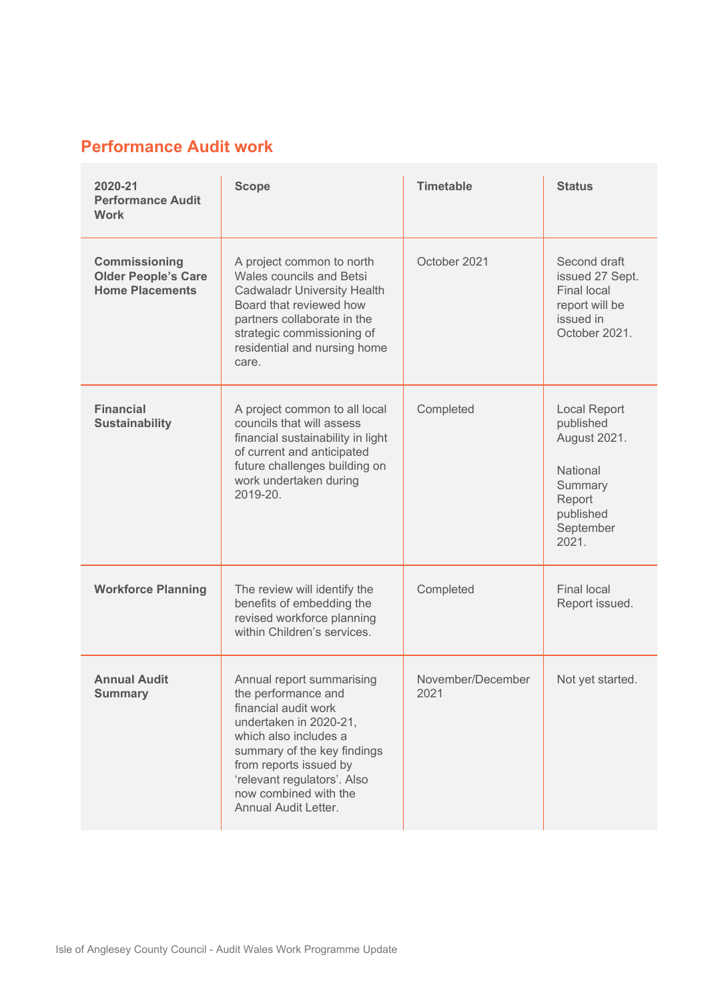### **Performance Audit work**

| 2020-21<br><b>Performance Audit</b><br><b>Work</b>                    | <b>Scope</b>                                                                                                                                                                                                                                                         | <b>Timetable</b>          | <b>Status</b>                                                                                                 |
|-----------------------------------------------------------------------|----------------------------------------------------------------------------------------------------------------------------------------------------------------------------------------------------------------------------------------------------------------------|---------------------------|---------------------------------------------------------------------------------------------------------------|
| Commissioning<br><b>Older People's Care</b><br><b>Home Placements</b> | A project common to north<br><b>Wales councils and Betsi</b><br><b>Cadwaladr University Health</b><br>Board that reviewed how<br>partners collaborate in the<br>strategic commissioning of<br>residential and nursing home<br>care.                                  | October 2021              | Second draft<br>issued 27 Sept.<br><b>Final local</b><br>report will be<br>issued in<br>October 2021.         |
| <b>Financial</b><br><b>Sustainability</b>                             | A project common to all local<br>councils that will assess<br>financial sustainability in light<br>of current and anticipated<br>future challenges building on<br>work undertaken during<br>2019-20.                                                                 | Completed                 | Local Report<br>published<br>August 2021.<br>National<br>Summary<br>Report<br>published<br>September<br>2021. |
| <b>Workforce Planning</b>                                             | The review will identify the<br>benefits of embedding the<br>revised workforce planning<br>within Children's services.                                                                                                                                               | Completed                 | <b>Final local</b><br>Report issued.                                                                          |
| <b>Annual Audit</b><br><b>Summary</b>                                 | Annual report summarising<br>the performance and<br>financial audit work<br>undertaken in 2020-21.<br>which also includes a<br>summary of the key findings<br>from reports issued by<br>'relevant regulators'. Also<br>now combined with the<br>Annual Audit Letter. | November/December<br>2021 | Not yet started.                                                                                              |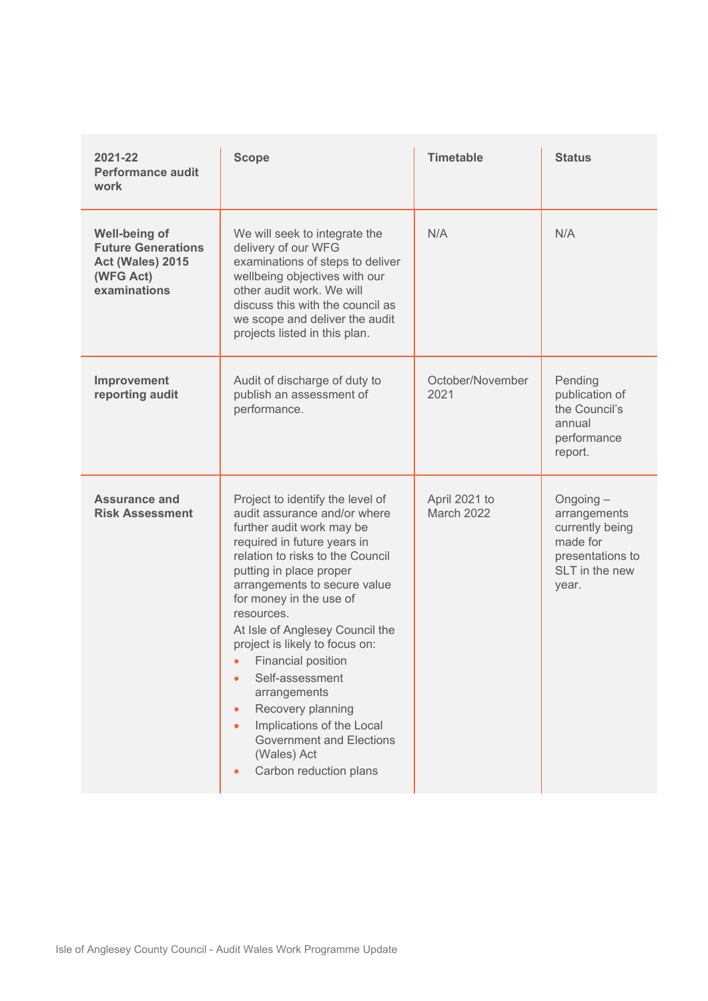| 2021-22<br><b>Performance audit</b><br>work                                                 | <b>Scope</b>                                                                                                                                                                                                                                                                                                                                                                                                                                                                                                                                                                         | <b>Timetable</b>            | <b>Status</b>                                                                                           |
|---------------------------------------------------------------------------------------------|--------------------------------------------------------------------------------------------------------------------------------------------------------------------------------------------------------------------------------------------------------------------------------------------------------------------------------------------------------------------------------------------------------------------------------------------------------------------------------------------------------------------------------------------------------------------------------------|-----------------------------|---------------------------------------------------------------------------------------------------------|
| Well-being of<br><b>Future Generations</b><br>Act (Wales) 2015<br>(WFG Act)<br>examinations | We will seek to integrate the<br>delivery of our WFG<br>examinations of steps to deliver<br>wellbeing objectives with our<br>other audit work. We will<br>discuss this with the council as<br>we scope and deliver the audit<br>projects listed in this plan.                                                                                                                                                                                                                                                                                                                        | N/A                         | N/A                                                                                                     |
| Improvement<br>reporting audit                                                              | Audit of discharge of duty to<br>publish an assessment of<br>performance.                                                                                                                                                                                                                                                                                                                                                                                                                                                                                                            | October/November<br>2021    | Pending<br>publication of<br>the Council's<br>annual<br>performance<br>report.                          |
| <b>Assurance and</b><br><b>Risk Assessment</b>                                              | Project to identify the level of<br>audit assurance and/or where<br>further audit work may be<br>required in future years in<br>relation to risks to the Council<br>putting in place proper<br>arrangements to secure value<br>for money in the use of<br>resources.<br>At Isle of Anglesey Council the<br>project is likely to focus on:<br>Financial position<br>$\bullet$<br>Self-assessment<br>arrangements<br>Recovery planning<br>$\bullet$<br>Implications of the Local<br>$\bullet$<br><b>Government and Elections</b><br>(Wales) Act<br>Carbon reduction plans<br>$\bullet$ | April 2021 to<br>March 2022 | Ongoing -<br>arrangements<br>currently being<br>made for<br>presentations to<br>SLT in the new<br>year. |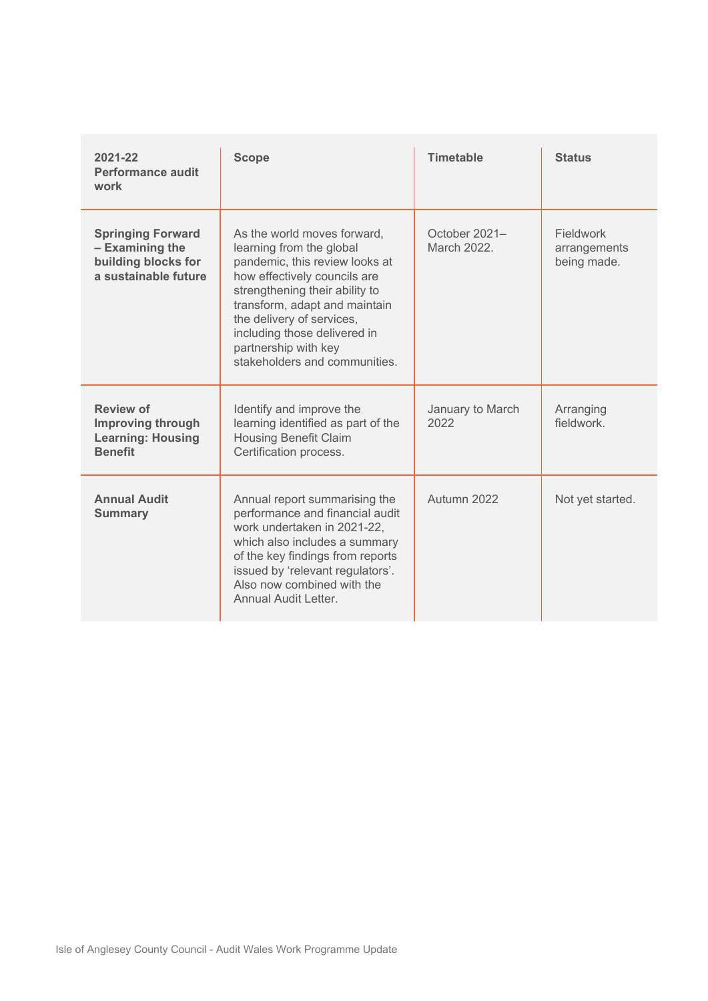| 2021-22<br>Performance audit<br>work                                                       | <b>Scope</b>                                                                                                                                                                                                                                                                                                       | <b>Timetable</b>            | <b>Status</b>                            |
|--------------------------------------------------------------------------------------------|--------------------------------------------------------------------------------------------------------------------------------------------------------------------------------------------------------------------------------------------------------------------------------------------------------------------|-----------------------------|------------------------------------------|
| <b>Springing Forward</b><br>- Examining the<br>building blocks for<br>a sustainable future | As the world moves forward,<br>learning from the global<br>pandemic, this review looks at<br>how effectively councils are<br>strengthening their ability to<br>transform, adapt and maintain<br>the delivery of services,<br>including those delivered in<br>partnership with key<br>stakeholders and communities. | October 2021-<br>March 2022 | Fieldwork<br>arrangements<br>being made. |
| <b>Review of</b><br><b>Improving through</b><br><b>Learning: Housing</b><br><b>Benefit</b> | Identify and improve the<br>learning identified as part of the<br><b>Housing Benefit Claim</b><br>Certification process.                                                                                                                                                                                           | January to March<br>2022    | Arranging<br>fieldwork                   |
| <b>Annual Audit</b><br><b>Summary</b>                                                      | Annual report summarising the<br>performance and financial audit<br>work undertaken in 2021-22,<br>which also includes a summary<br>of the key findings from reports<br>issued by 'relevant regulators'.<br>Also now combined with the<br>Annual Audit Letter.                                                     | Autumn 2022                 | Not yet started.                         |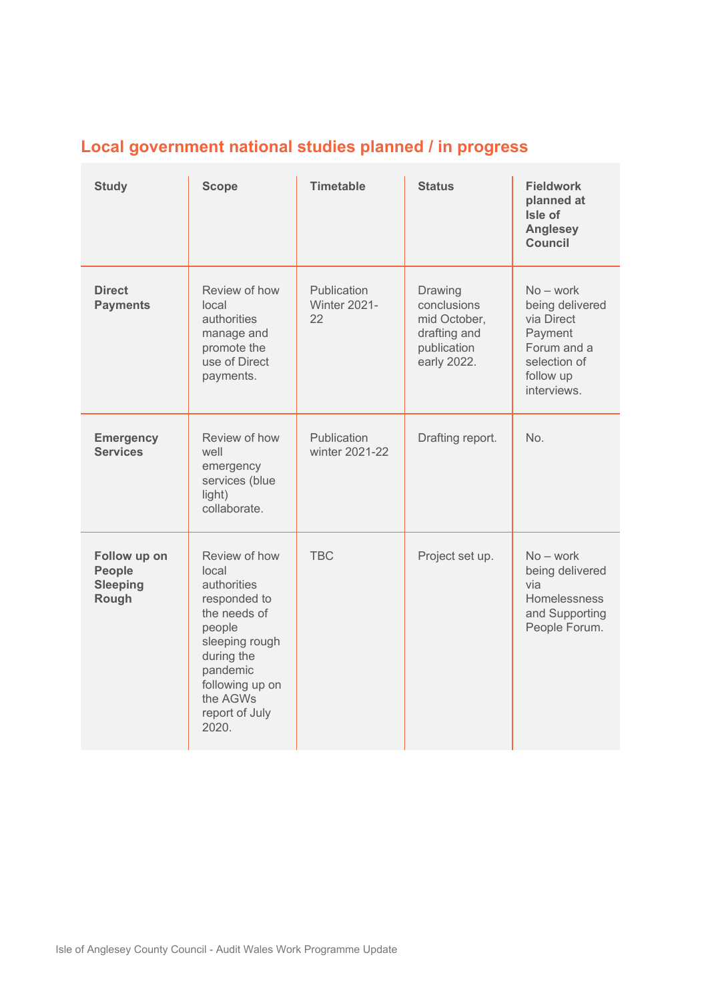| Local government national studies planned / in progress |  |  |
|---------------------------------------------------------|--|--|
|---------------------------------------------------------|--|--|

| <b>Study</b>                                       | <b>Scope</b>                                                                                                                                                                          | <b>Timetable</b>                         | <b>Status</b>                                                                        | <b>Fieldwork</b><br>planned at<br>Isle of<br><b>Anglesey</b><br><b>Council</b>                                     |
|----------------------------------------------------|---------------------------------------------------------------------------------------------------------------------------------------------------------------------------------------|------------------------------------------|--------------------------------------------------------------------------------------|--------------------------------------------------------------------------------------------------------------------|
| <b>Direct</b><br><b>Payments</b>                   | Review of how<br>local<br>authorities<br>manage and<br>promote the<br>use of Direct<br>payments.                                                                                      | Publication<br><b>Winter 2021-</b><br>22 | Drawing<br>conclusions<br>mid October,<br>drafting and<br>publication<br>early 2022. | $No - work$<br>being delivered<br>via Direct<br>Payment<br>Forum and a<br>selection of<br>follow up<br>interviews. |
| <b>Emergency</b><br><b>Services</b>                | Review of how<br>well<br>emergency<br>services (blue<br>light)<br>collaborate.                                                                                                        | Publication<br>winter 2021-22            | Drafting report.                                                                     | No.                                                                                                                |
| Follow up on<br>People<br><b>Sleeping</b><br>Rough | Review of how<br>local<br>authorities<br>responded to<br>the needs of<br>people<br>sleeping rough<br>during the<br>pandemic<br>following up on<br>the AGWs<br>report of July<br>2020. | <b>TBC</b>                               | Project set up.                                                                      | $No - work$<br>being delivered<br>via<br>Homelessness<br>and Supporting<br>People Forum.                           |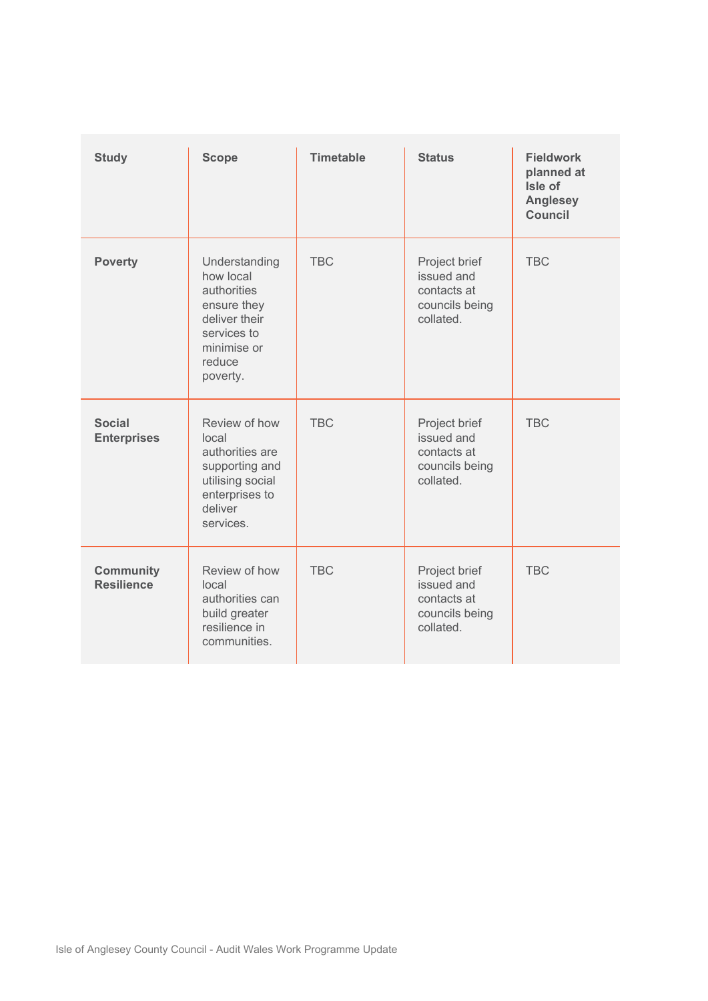| <b>Study</b>                          | <b>Scope</b>                                                                                                                  | <b>Timetable</b> | <b>Status</b>                                                             | <b>Fieldwork</b><br>planned at<br>Isle of<br><b>Anglesey</b><br><b>Council</b> |
|---------------------------------------|-------------------------------------------------------------------------------------------------------------------------------|------------------|---------------------------------------------------------------------------|--------------------------------------------------------------------------------|
| <b>Poverty</b>                        | Understanding<br>how local<br>authorities<br>ensure they<br>deliver their<br>services to<br>minimise or<br>reduce<br>poverty. | <b>TBC</b>       | Project brief<br>issued and<br>contacts at<br>councils being<br>collated. | <b>TBC</b>                                                                     |
| <b>Social</b><br><b>Enterprises</b>   | Review of how<br>local<br>authorities are<br>supporting and<br>utilising social<br>enterprises to<br>deliver<br>services.     | <b>TBC</b>       | Project brief<br>issued and<br>contacts at<br>councils being<br>collated. | <b>TBC</b>                                                                     |
| <b>Community</b><br><b>Resilience</b> | Review of how<br>local<br>authorities can<br>build greater<br>resilience in<br>communities.                                   | <b>TBC</b>       | Project brief<br>issued and<br>contacts at<br>councils being<br>collated. | <b>TBC</b>                                                                     |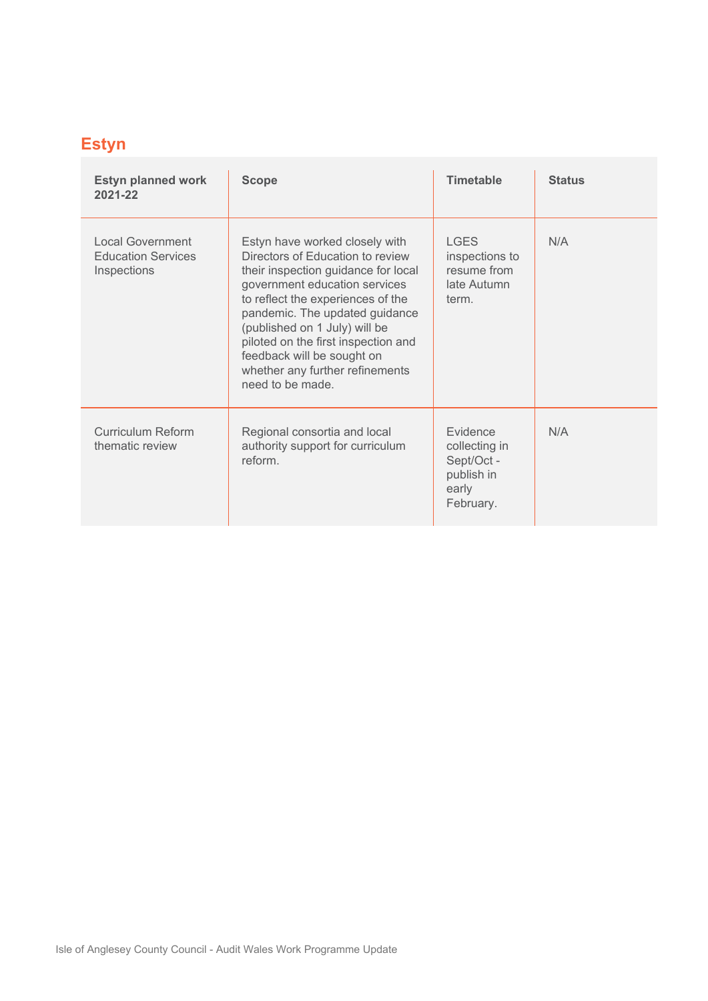## **Estyn**

| <b>Estyn planned work</b><br>2021-22                         | <b>Scope</b>                                                                                                                                                                                                                                                                                                                                                                   | <b>Timetable</b>                                                            | <b>Status</b> |
|--------------------------------------------------------------|--------------------------------------------------------------------------------------------------------------------------------------------------------------------------------------------------------------------------------------------------------------------------------------------------------------------------------------------------------------------------------|-----------------------------------------------------------------------------|---------------|
| Local Government<br><b>Education Services</b><br>Inspections | Estyn have worked closely with<br>Directors of Education to review<br>their inspection guidance for local<br>government education services<br>to reflect the experiences of the<br>pandemic. The updated guidance<br>(published on 1 July) will be<br>piloted on the first inspection and<br>feedback will be sought on<br>whether any further refinements<br>need to be made. | <b>LGES</b><br>inspections to<br>resume from<br>late Autumn<br>term.        | N/A           |
| Curriculum Reform<br>thematic review                         | Regional consortia and local<br>authority support for curriculum<br>reform.                                                                                                                                                                                                                                                                                                    | Evidence<br>collecting in<br>Sept/Oct -<br>publish in<br>early<br>February. | N/A           |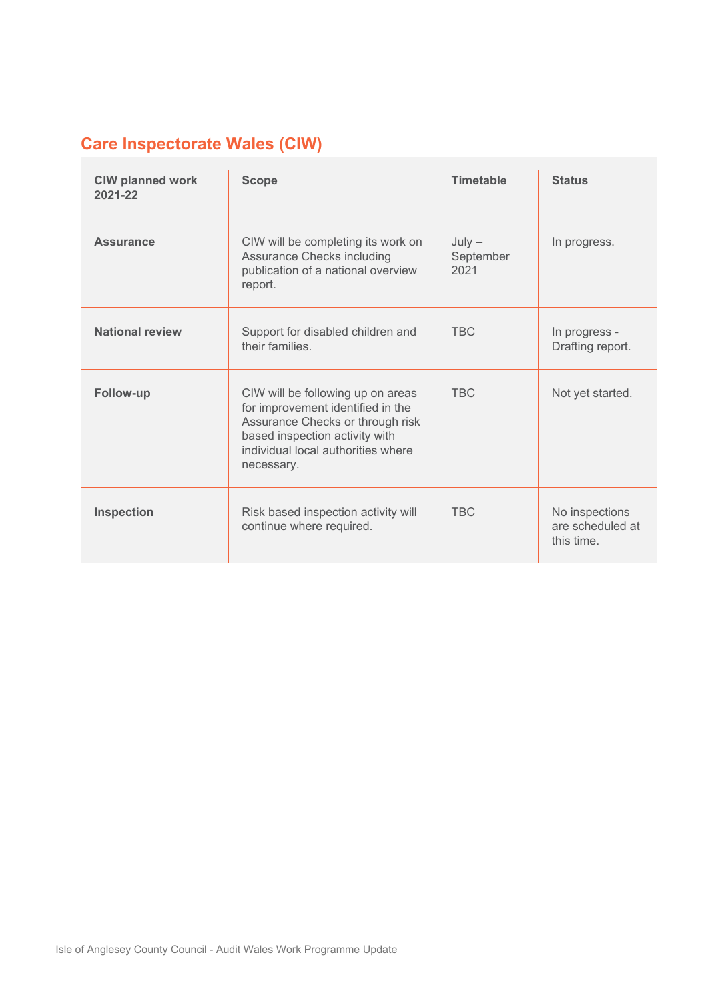## **Care Inspectorate Wales (CIW)**

| <b>CIW planned work</b><br>2021-22 | <b>Scope</b>                                                                                                                                                                                     | <b>Timetable</b>              | <b>Status</b>                                    |
|------------------------------------|--------------------------------------------------------------------------------------------------------------------------------------------------------------------------------------------------|-------------------------------|--------------------------------------------------|
| <b>Assurance</b>                   | CIW will be completing its work on<br>Assurance Checks including<br>publication of a national overview<br>report.                                                                                | $July -$<br>September<br>2021 | In progress.                                     |
| <b>National review</b>             | Support for disabled children and<br>their families.                                                                                                                                             | <b>TBC</b>                    | In progress -<br>Drafting report.                |
| Follow-up                          | CIW will be following up on areas<br>for improvement identified in the<br>Assurance Checks or through risk<br>based inspection activity with<br>individual local authorities where<br>necessary. | <b>TBC</b>                    | Not yet started.                                 |
| <b>Inspection</b>                  | Risk based inspection activity will<br>continue where required.                                                                                                                                  | <b>TBC</b>                    | No inspections<br>are scheduled at<br>this time. |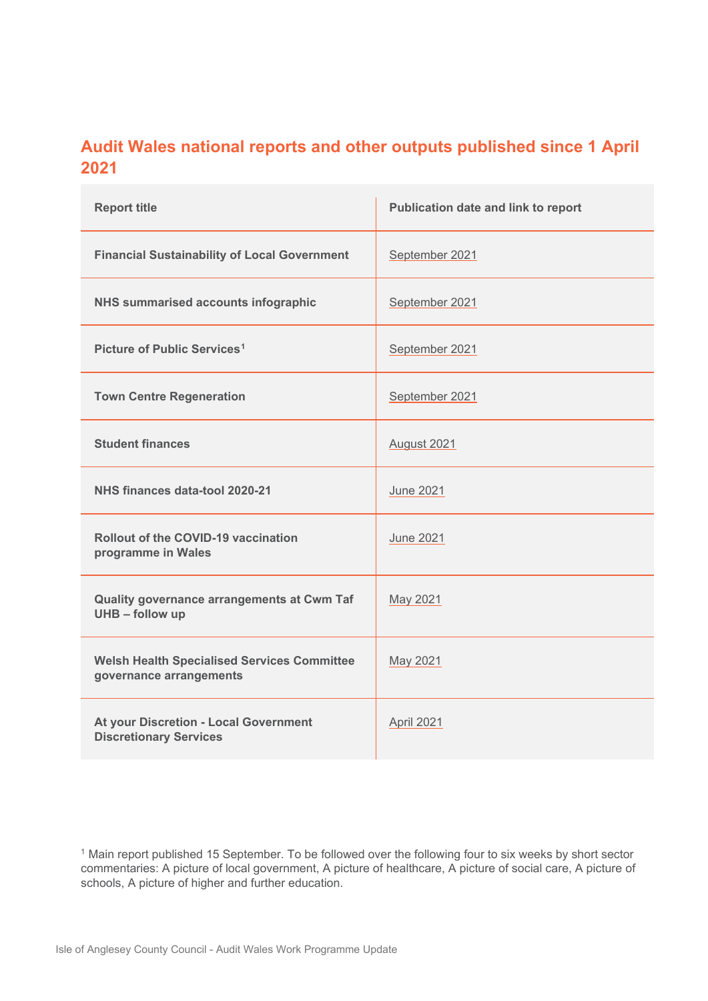#### **Audit Wales national reports and other outputs published since 1 April 2021**

| <b>Report title</b>                                                           | Publication date and link to report |
|-------------------------------------------------------------------------------|-------------------------------------|
| <b>Financial Sustainability of Local Government</b>                           | September 2021                      |
| NHS summarised accounts infographic                                           | September 2021                      |
| Picture of Public Services <sup>1</sup>                                       | September 2021                      |
| <b>Town Centre Regeneration</b>                                               | September 2021                      |
| <b>Student finances</b>                                                       | August 2021                         |
| NHS finances data-tool 2020-21                                                | <b>June 2021</b>                    |
| <b>Rollout of the COVID-19 vaccination</b><br>programme in Wales              | <b>June 2021</b>                    |
| Quality governance arrangements at Cwm Taf<br>UHB - follow up                 | May 2021                            |
| <b>Welsh Health Specialised Services Committee</b><br>governance arrangements | May 2021                            |
| <b>At your Discretion - Local Government</b><br><b>Discretionary Services</b> | <b>April 2021</b>                   |

<span id="page-8-0"></span><sup>1</sup> Main report published 15 September. To be followed over the following four to six weeks by short sector commentaries: A picture of local government, A picture of healthcare, A picture of social care, A picture of schools, A picture of higher and further education.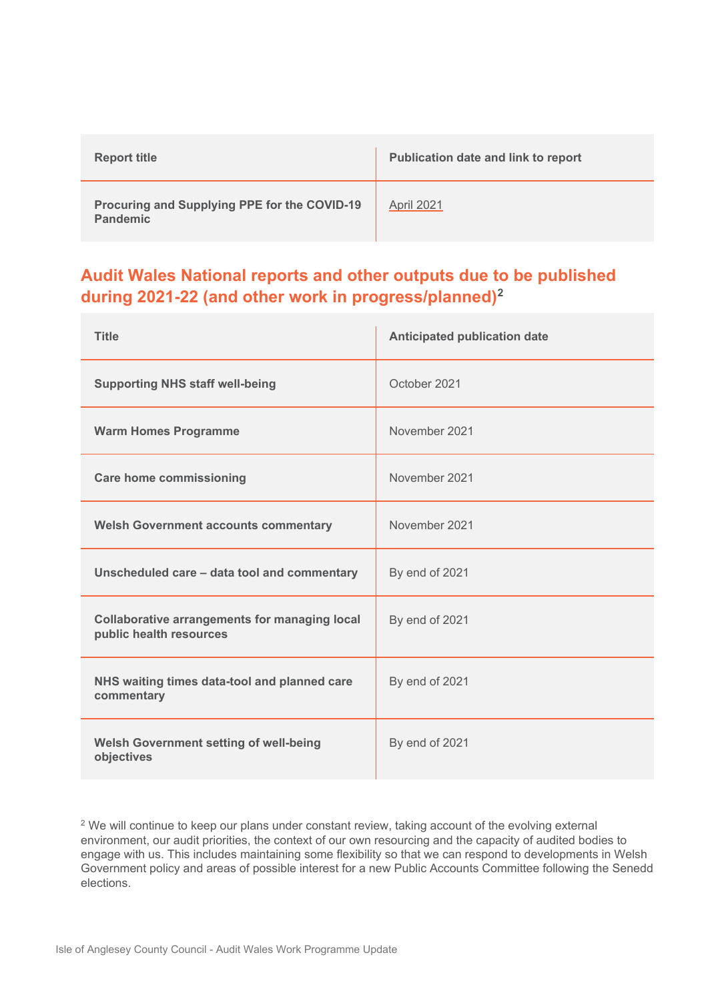| <b>Report title</b>                                             | Publication date and link to report |
|-----------------------------------------------------------------|-------------------------------------|
| Procuring and Supplying PPE for the COVID-19<br><b>Pandemic</b> | April 2021                          |

#### **Audit Wales National reports and other outputs due to be published during 2021-22 (and other work in progress/planned)[2](#page-9-0)**

| <b>Title</b>                                                                    | <b>Anticipated publication date</b> |
|---------------------------------------------------------------------------------|-------------------------------------|
| <b>Supporting NHS staff well-being</b>                                          | October 2021                        |
| <b>Warm Homes Programme</b>                                                     | November 2021                       |
| <b>Care home commissioning</b>                                                  | November 2021                       |
| <b>Welsh Government accounts commentary</b>                                     | November 2021                       |
| Unscheduled care - data tool and commentary                                     | By end of 2021                      |
| <b>Collaborative arrangements for managing local</b><br>public health resources | By end of 2021                      |
| NHS waiting times data-tool and planned care<br>commentary                      | By end of 2021                      |
| Welsh Government setting of well-being<br>objectives                            | By end of 2021                      |

<span id="page-9-0"></span><sup>2</sup> We will continue to keep our plans under constant review, taking account of the evolving external environment, our audit priorities, the context of our own resourcing and the capacity of audited bodies to engage with us. This includes maintaining some flexibility so that we can respond to developments in Welsh Government policy and areas of possible interest for a new Public Accounts Committee following the Senedd elections.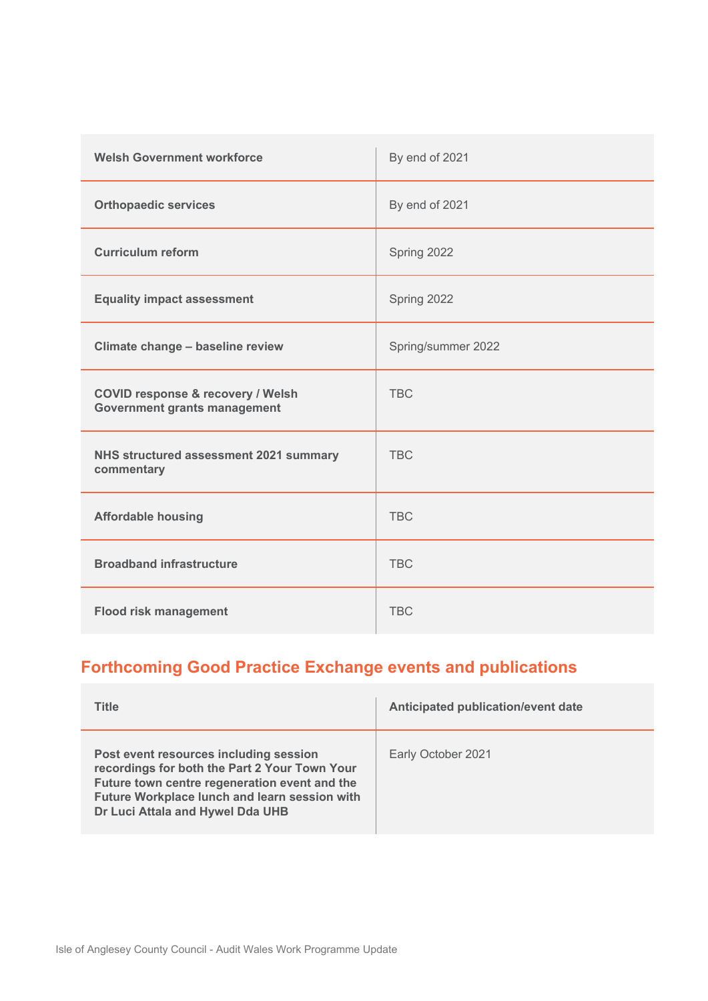| <b>Welsh Government workforce</b>                                                   | By end of 2021     |
|-------------------------------------------------------------------------------------|--------------------|
| <b>Orthopaedic services</b>                                                         | By end of 2021     |
| <b>Curriculum reform</b>                                                            | Spring 2022        |
| <b>Equality impact assessment</b>                                                   | Spring 2022        |
| Climate change - baseline review                                                    | Spring/summer 2022 |
| <b>COVID response &amp; recovery / Welsh</b><br><b>Government grants management</b> | <b>TBC</b>         |
| NHS structured assessment 2021 summary<br>commentary                                | <b>TBC</b>         |
| <b>Affordable housing</b>                                                           | <b>TBC</b>         |
| <b>Broadband infrastructure</b>                                                     | <b>TBC</b>         |
| <b>Flood risk management</b>                                                        | <b>TBC</b>         |

## **Forthcoming Good Practice Exchange events and publications**

| <b>Title</b>                                                                                                                                                                                                                  | Anticipated publication/event date |
|-------------------------------------------------------------------------------------------------------------------------------------------------------------------------------------------------------------------------------|------------------------------------|
| Post event resources including session<br>recordings for both the Part 2 Your Town Your<br>Future town centre regeneration event and the<br>Future Workplace lunch and learn session with<br>Dr Luci Attala and Hywel Dda UHB | Early October 2021                 |